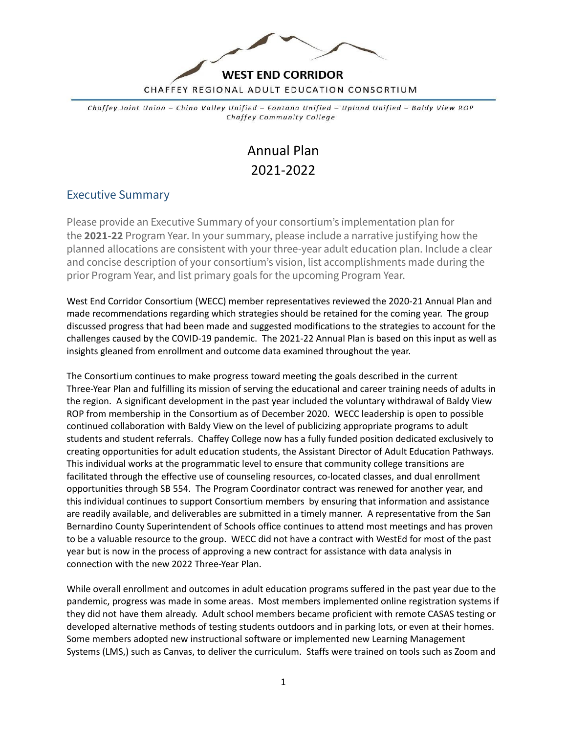

Chaffey Joint Union - Chino Valley Unified - Fontana Unified - Upland Unified - Baldy View ROP Chaffey Community College

# Annual Plan 2021-2022

#### Executive Summary

Please provide an Executive Summary of your consortium's implementation plan for the **2021-22** Program Year. In your summary, please include a narrative justifying how the planned allocations are consistent with your three-year adult education plan. Include a clear and concise description of your consortium's vision, list accomplishments made during the prior Program Year, and list primary goals for the upcoming Program Year.

West End Corridor Consortium (WECC) member representatives reviewed the 2020-21 Annual Plan and made recommendations regarding which strategies should be retained for the coming year. The group discussed progress that had been made and suggested modifications to the strategies to account for the challenges caused by the COVID-19 pandemic. The 2021-22 Annual Plan is based on this input as well as insights gleaned from enrollment and outcome data examined throughout the year.

The Consortium continues to make progress toward meeting the goals described in the current Three-Year Plan and fulfilling its mission of serving the educational and career training needs of adults in the region. A significant development in the past year included the voluntary withdrawal of Baldy View ROP from membership in the Consortium as of December 2020. WECC leadership is open to possible continued collaboration with Baldy View on the level of publicizing appropriate programs to adult students and student referrals. Chaffey College now has a fully funded position dedicated exclusively to creating opportunities for adult education students, the Assistant Director of Adult Education Pathways. This individual works at the programmatic level to ensure that community college transitions are facilitated through the effective use of counseling resources, co-located classes, and dual enrollment opportunities through SB 554. The Program Coordinator contract was renewed for another year, and this individual continues to support Consortium members by ensuring that information and assistance are readily available, and deliverables are submitted in a timely manner. A representative from the San Bernardino County Superintendent of Schools office continues to attend most meetings and has proven to be a valuable resource to the group. WECC did not have a contract with WestEd for most of the past year but is now in the process of approving a new contract for assistance with data analysis in connection with the new 2022 Three-Year Plan.

While overall enrollment and outcomes in adult education programs suffered in the past year due to the pandemic, progress was made in some areas. Most members implemented online registration systems if they did not have them already. Adult school members became proficient with remote CASAS testing or developed alternative methods of testing students outdoors and in parking lots, or even at their homes. Some members adopted new instructional software or implemented new Learning Management Systems (LMS,) such as Canvas, to deliver the curriculum. Staffs were trained on tools such as Zoom and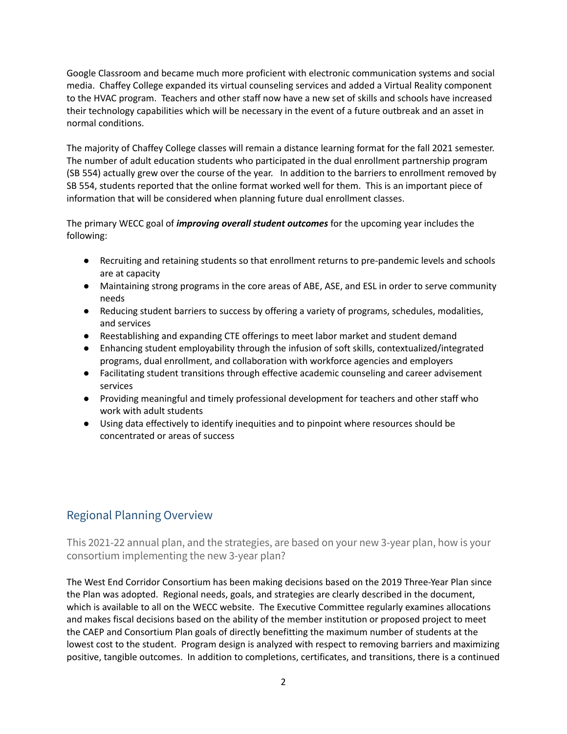Google Classroom and became much more proficient with electronic communication systems and social media. Chaffey College expanded its virtual counseling services and added a Virtual Reality component to the HVAC program. Teachers and other staff now have a new set of skills and schools have increased their technology capabilities which will be necessary in the event of a future outbreak and an asset in normal conditions.

The majority of Chaffey College classes will remain a distance learning format for the fall 2021 semester. The number of adult education students who participated in the dual enrollment partnership program (SB 554) actually grew over the course of the year. In addition to the barriers to enrollment removed by SB 554, students reported that the online format worked well for them. This is an important piece of information that will be considered when planning future dual enrollment classes.

The primary WECC goal of *improving overall student outcomes* for the upcoming year includes the following:

- Recruiting and retaining students so that enrollment returns to pre-pandemic levels and schools are at capacity
- Maintaining strong programs in the core areas of ABE, ASE, and ESL in order to serve community needs
- Reducing student barriers to success by offering a variety of programs, schedules, modalities, and services
- Reestablishing and expanding CTE offerings to meet labor market and student demand
- Enhancing student employability through the infusion of soft skills, contextualized/integrated programs, dual enrollment, and collaboration with workforce agencies and employers
- Facilitating student transitions through effective academic counseling and career advisement services
- Providing meaningful and timely professional development for teachers and other staff who work with adult students
- Using data effectively to identify inequities and to pinpoint where resources should be concentrated or areas of success

### Regional Planning Overview

This 2021-22 annual plan, and the strategies, are based on your new 3-year plan, how is your consortium implementing the new 3-year plan?

The West End Corridor Consortium has been making decisions based on the 2019 Three-Year Plan since the Plan was adopted. Regional needs, goals, and strategies are clearly described in the document, which is available to all on the WECC website. The Executive Committee regularly examines allocations and makes fiscal decisions based on the ability of the member institution or proposed project to meet the CAEP and Consortium Plan goals of directly benefitting the maximum number of students at the lowest cost to the student. Program design is analyzed with respect to removing barriers and maximizing positive, tangible outcomes. In addition to completions, certificates, and transitions, there is a continued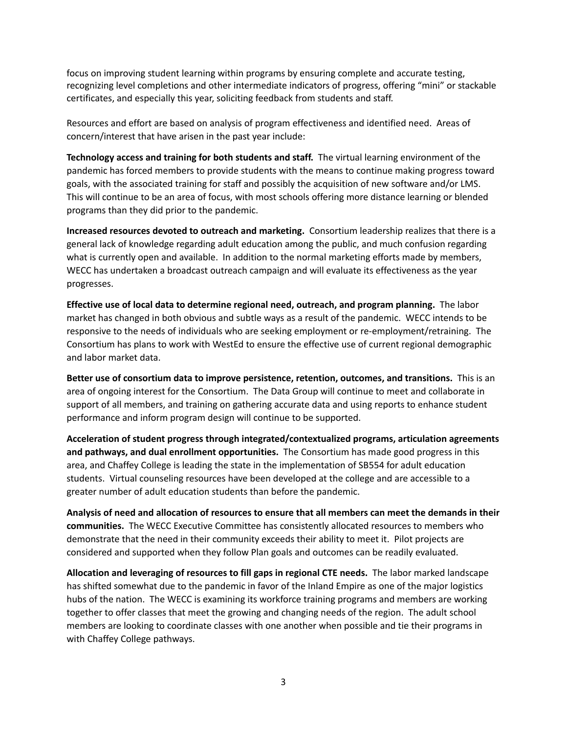focus on improving student learning within programs by ensuring complete and accurate testing, recognizing level completions and other intermediate indicators of progress, offering "mini" or stackable certificates, and especially this year, soliciting feedback from students and staff.

Resources and effort are based on analysis of program effectiveness and identified need. Areas of concern/interest that have arisen in the past year include:

**Technology access and training for both students and staff.** The virtual learning environment of the pandemic has forced members to provide students with the means to continue making progress toward goals, with the associated training for staff and possibly the acquisition of new software and/or LMS. This will continue to be an area of focus, with most schools offering more distance learning or blended programs than they did prior to the pandemic.

**Increased resources devoted to outreach and marketing.** Consortium leadership realizes that there is a general lack of knowledge regarding adult education among the public, and much confusion regarding what is currently open and available. In addition to the normal marketing efforts made by members, WECC has undertaken a broadcast outreach campaign and will evaluate its effectiveness as the year progresses.

**Effective use of local data to determine regional need, outreach, and program planning.** The labor market has changed in both obvious and subtle ways as a result of the pandemic. WECC intends to be responsive to the needs of individuals who are seeking employment or re-employment/retraining. The Consortium has plans to work with WestEd to ensure the effective use of current regional demographic and labor market data.

**Better use of consortium data to improve persistence, retention, outcomes, and transitions.** This is an area of ongoing interest for the Consortium. The Data Group will continue to meet and collaborate in support of all members, and training on gathering accurate data and using reports to enhance student performance and inform program design will continue to be supported.

**Acceleration of student progress through integrated/contextualized programs, articulation agreements and pathways, and dual enrollment opportunities.** The Consortium has made good progress in this area, and Chaffey College is leading the state in the implementation of SB554 for adult education students. Virtual counseling resources have been developed at the college and are accessible to a greater number of adult education students than before the pandemic.

Analysis of need and allocation of resources to ensure that all members can meet the demands in their **communities.** The WECC Executive Committee has consistently allocated resources to members who demonstrate that the need in their community exceeds their ability to meet it. Pilot projects are considered and supported when they follow Plan goals and outcomes can be readily evaluated.

**Allocation and leveraging of resources to fill gaps in regional CTE needs.** The labor marked landscape has shifted somewhat due to the pandemic in favor of the Inland Empire as one of the major logistics hubs of the nation. The WECC is examining its workforce training programs and members are working together to offer classes that meet the growing and changing needs of the region. The adult school members are looking to coordinate classes with one another when possible and tie their programs in with Chaffey College pathways.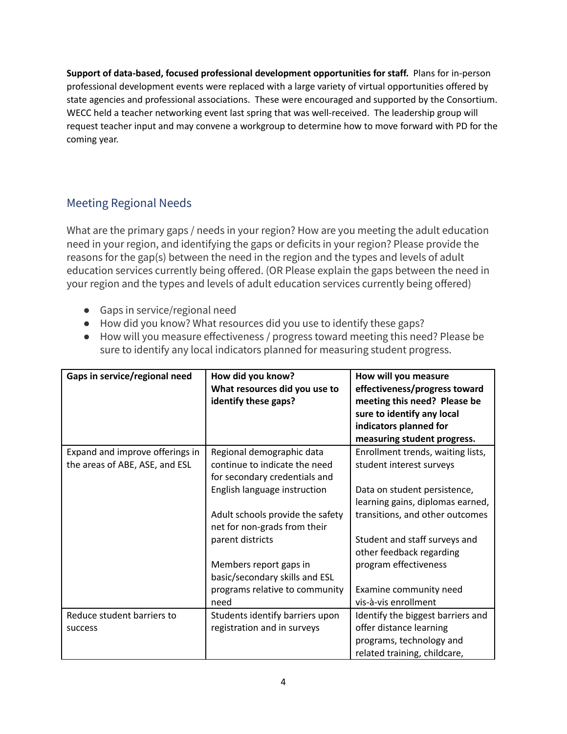**Support of data-based, focused professional development opportunities for staff.** Plans for in-person professional development events were replaced with a large variety of virtual opportunities offered by state agencies and professional associations. These were encouraged and supported by the Consortium. WECC held a teacher networking event last spring that was well-received. The leadership group will request teacher input and may convene a workgroup to determine how to move forward with PD for the coming year.

## Meeting Regional Needs

What are the primary gaps / needs in your region? How are you meeting the adult education need in your region, and identifying the gaps or deficits in your region? Please provide the reasons for the gap(s) between the need in the region and the types and levels of adult education services currently being offered. (OR Please explain the gaps between the need in your region and the types and levels of adult education services currently being offered)

- Gaps in service/regional need
- How did you know? What resources did you use to identify these gaps?
- How will you measure effectiveness / progress toward meeting this need? Please be sure to identify any local indicators planned for measuring student progress.

| Gaps in service/regional need   | How did you know?<br>What resources did you use to<br>identify these gaps? | How will you measure<br>effectiveness/progress toward<br>meeting this need? Please be<br>sure to identify any local<br>indicators planned for<br>measuring student progress. |
|---------------------------------|----------------------------------------------------------------------------|------------------------------------------------------------------------------------------------------------------------------------------------------------------------------|
| Expand and improve offerings in | Regional demographic data                                                  | Enrollment trends, waiting lists,                                                                                                                                            |
| the areas of ABE, ASE, and ESL  | continue to indicate the need<br>for secondary credentials and             | student interest surveys                                                                                                                                                     |
|                                 | English language instruction                                               | Data on student persistence,                                                                                                                                                 |
|                                 |                                                                            | learning gains, diplomas earned,                                                                                                                                             |
|                                 | Adult schools provide the safety<br>net for non-grads from their           | transitions, and other outcomes                                                                                                                                              |
|                                 | parent districts                                                           | Student and staff surveys and                                                                                                                                                |
|                                 |                                                                            | other feedback regarding                                                                                                                                                     |
|                                 | Members report gaps in                                                     | program effectiveness                                                                                                                                                        |
|                                 | basic/secondary skills and ESL                                             |                                                                                                                                                                              |
|                                 | programs relative to community<br>need                                     | Examine community need<br>vis-à-vis enrollment                                                                                                                               |
| Reduce student barriers to      | Students identify barriers upon                                            | Identify the biggest barriers and                                                                                                                                            |
| success                         | registration and in surveys                                                | offer distance learning                                                                                                                                                      |
|                                 |                                                                            | programs, technology and                                                                                                                                                     |
|                                 |                                                                            | related training, childcare,                                                                                                                                                 |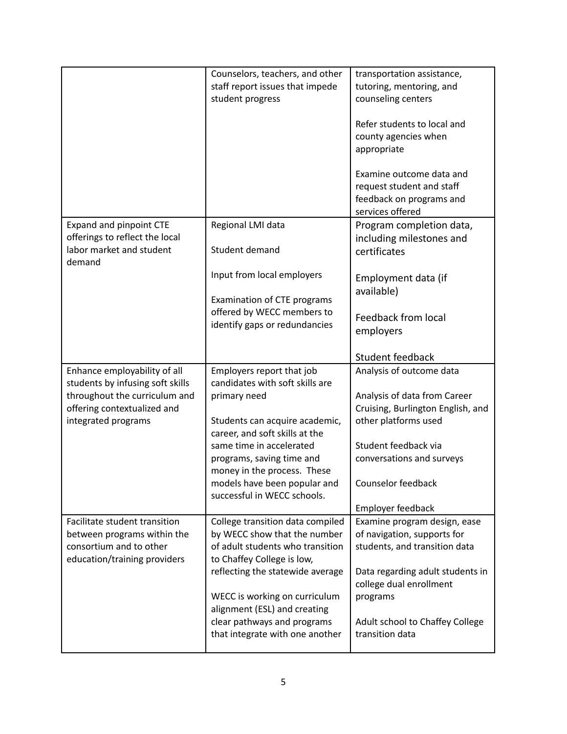|                                                                                                                                                         | Counselors, teachers, and other<br>staff report issues that impede<br>student progress                                                                                                                                                                                                                  | transportation assistance,<br>tutoring, mentoring, and<br>counseling centers<br>Refer students to local and<br>county agencies when<br>appropriate<br>Examine outcome data and<br>request student and staff |
|---------------------------------------------------------------------------------------------------------------------------------------------------------|---------------------------------------------------------------------------------------------------------------------------------------------------------------------------------------------------------------------------------------------------------------------------------------------------------|-------------------------------------------------------------------------------------------------------------------------------------------------------------------------------------------------------------|
|                                                                                                                                                         |                                                                                                                                                                                                                                                                                                         | feedback on programs and<br>services offered                                                                                                                                                                |
| Expand and pinpoint CTE<br>offerings to reflect the local<br>labor market and student<br>demand                                                         | Regional LMI data<br>Student demand                                                                                                                                                                                                                                                                     | Program completion data,<br>including milestones and<br>certificates                                                                                                                                        |
|                                                                                                                                                         | Input from local employers<br>Examination of CTE programs<br>offered by WECC members to<br>identify gaps or redundancies                                                                                                                                                                                | Employment data (if<br>available)<br><b>Feedback from local</b><br>employers                                                                                                                                |
|                                                                                                                                                         |                                                                                                                                                                                                                                                                                                         | Student feedback                                                                                                                                                                                            |
| Enhance employability of all<br>students by infusing soft skills<br>throughout the curriculum and<br>offering contextualized and<br>integrated programs | Employers report that job<br>candidates with soft skills are<br>primary need<br>Students can acquire academic,<br>career, and soft skills at the<br>same time in accelerated<br>programs, saving time and<br>money in the process. These<br>models have been popular and<br>successful in WECC schools. | Analysis of outcome data<br>Analysis of data from Career<br>Cruising, Burlington English, and<br>other platforms used<br>Student feedback via<br>conversations and surveys<br>Counselor feedback            |
| Facilitate student transition                                                                                                                           | College transition data compiled                                                                                                                                                                                                                                                                        | Employer feedback<br>Examine program design, ease                                                                                                                                                           |
| between programs within the<br>consortium and to other<br>education/training providers                                                                  | by WECC show that the number<br>of adult students who transition<br>to Chaffey College is low,<br>reflecting the statewide average<br>WECC is working on curriculum<br>alignment (ESL) and creating<br>clear pathways and programs<br>that integrate with one another                                   | of navigation, supports for<br>students, and transition data<br>Data regarding adult students in<br>college dual enrollment<br>programs<br>Adult school to Chaffey College<br>transition data               |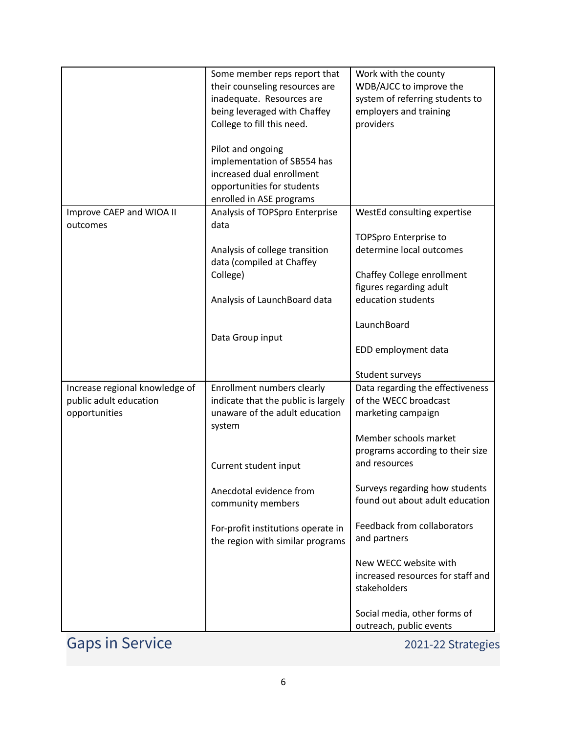|                                | Some member reps report that        | Work with the county                          |
|--------------------------------|-------------------------------------|-----------------------------------------------|
|                                | their counseling resources are      | WDB/AJCC to improve the                       |
|                                | inadequate. Resources are           | system of referring students to               |
|                                | being leveraged with Chaffey        | employers and training                        |
|                                | College to fill this need.          | providers                                     |
|                                |                                     |                                               |
|                                | Pilot and ongoing                   |                                               |
|                                | implementation of SB554 has         |                                               |
|                                | increased dual enrollment           |                                               |
|                                | opportunities for students          |                                               |
|                                | enrolled in ASE programs            |                                               |
| Improve CAEP and WIOA II       | Analysis of TOPSpro Enterprise      | WestEd consulting expertise                   |
| outcomes                       | data                                |                                               |
|                                |                                     | <b>TOPSpro Enterprise to</b>                  |
|                                | Analysis of college transition      | determine local outcomes                      |
|                                | data (compiled at Chaffey           |                                               |
|                                | College)                            | Chaffey College enrollment                    |
|                                |                                     | figures regarding adult                       |
|                                | Analysis of LaunchBoard data        | education students                            |
|                                |                                     |                                               |
|                                |                                     | LaunchBoard                                   |
|                                | Data Group input                    |                                               |
|                                |                                     | EDD employment data                           |
|                                |                                     | Student surveys                               |
| Increase regional knowledge of | Enrollment numbers clearly          | Data regarding the effectiveness              |
| public adult education         | indicate that the public is largely | of the WECC broadcast                         |
|                                | unaware of the adult education      | marketing campaign                            |
| opportunities                  |                                     |                                               |
|                                | system                              |                                               |
|                                |                                     | Member schools market                         |
|                                |                                     | programs according to their size              |
|                                |                                     | and resources                                 |
|                                | Current student input               |                                               |
|                                | Anecdotal evidence from             | Surveys regarding how students                |
|                                | community members                   | found out about adult education               |
|                                |                                     |                                               |
|                                | For-profit institutions operate in  | Feedback from collaborators                   |
|                                | the region with similar programs    | and partners                                  |
|                                |                                     |                                               |
|                                |                                     | New WECC website with                         |
|                                |                                     | increased resources for staff and             |
|                                |                                     | stakeholders                                  |
|                                |                                     |                                               |
|                                |                                     | Social media, other forms of                  |
| <b>Gaps in Service</b>         |                                     | outreach, public events<br>2021-22 Strategies |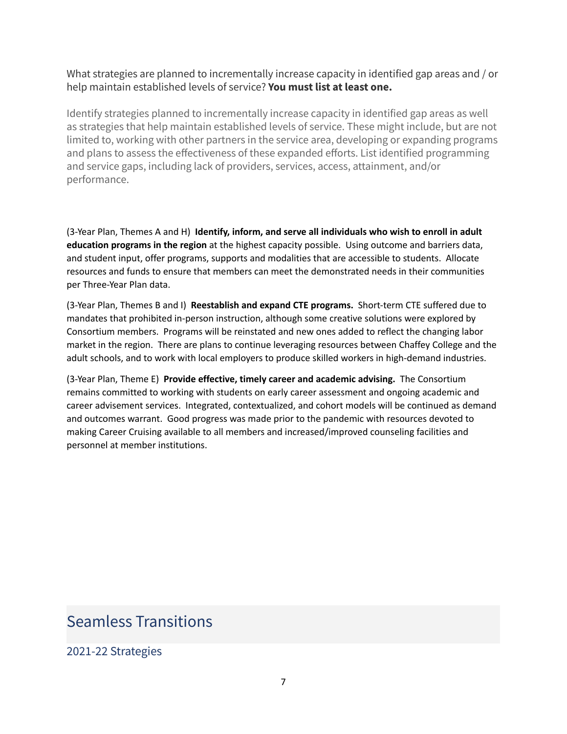What strategies are planned to incrementally increase capacity in identified gap areas and / or help maintain established levels of service? **You must list at least one.**

Identify strategies planned to incrementally increase capacity in identified gap areas as well as strategies that help maintain established levels of service. These might include, but are not limited to, working with other partners in the service area, developing or expanding programs and plans to assess the effectiveness of these expanded efforts. List identified programming and service gaps, including lack of providers, services, access, attainment, and/or performance.

(3-Year Plan, Themes A and H) **Identify, inform, and serve all individuals who wish to enroll in adult education programs in the region** at the highest capacity possible. Using outcome and barriers data, and student input, offer programs, supports and modalities that are accessible to students. Allocate resources and funds to ensure that members can meet the demonstrated needs in their communities per Three-Year Plan data.

(3-Year Plan, Themes B and I) **Reestablish and expand CTE programs.** Short-term CTE suffered due to mandates that prohibited in-person instruction, although some creative solutions were explored by Consortium members. Programs will be reinstated and new ones added to reflect the changing labor market in the region. There are plans to continue leveraging resources between Chaffey College and the adult schools, and to work with local employers to produce skilled workers in high-demand industries.

(3-Year Plan, Theme E) **Provide effective, timely career and academic advising.** The Consortium remains committed to working with students on early career assessment and ongoing academic and career advisement services. Integrated, contextualized, and cohort models will be continued as demand and outcomes warrant. Good progress was made prior to the pandemic with resources devoted to making Career Cruising available to all members and increased/improved counseling facilities and personnel at member institutions.

## Seamless Transitions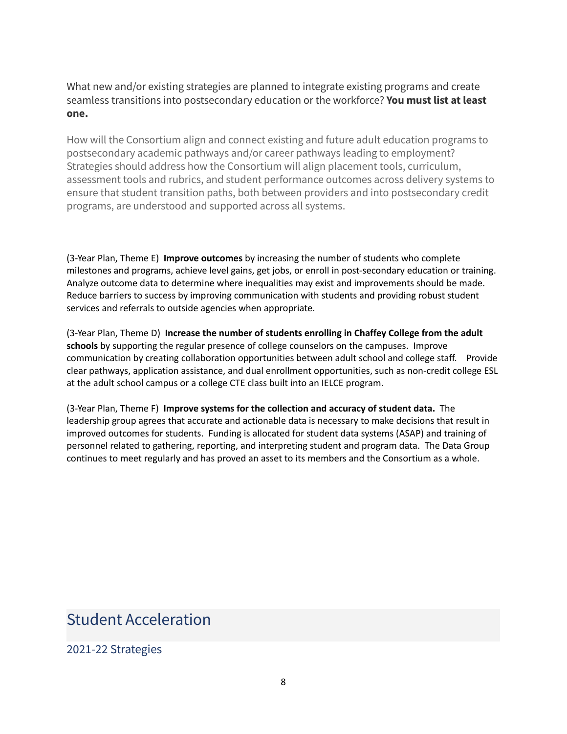What new and/or existing strategies are planned to integrate existing programs and create seamless transitions into postsecondary education or the workforce? **You must list at least one.**

How will the Consortium align and connect existing and future adult education programs to postsecondary academic pathways and/or career pathways leading to employment? Strategies should address how the Consortium will align placement tools, curriculum, assessment tools and rubrics, and student performance outcomes across delivery systems to ensure that student transition paths, both between providers and into postsecondary credit programs, are understood and supported across all systems.

(3-Year Plan, Theme E) **Improve outcomes** by increasing the number of students who complete milestones and programs, achieve level gains, get jobs, or enroll in post-secondary education or training. Analyze outcome data to determine where inequalities may exist and improvements should be made. Reduce barriers to success by improving communication with students and providing robust student services and referrals to outside agencies when appropriate.

(3-Year Plan, Theme D) **Increase the number of students enrolling in Chaffey College from the adult schools** by supporting the regular presence of college counselors on the campuses. Improve communication by creating collaboration opportunities between adult school and college staff. Provide clear pathways, application assistance, and dual enrollment opportunities, such as non-credit college ESL at the adult school campus or a college CTE class built into an IELCE program.

(3-Year Plan, Theme F) **Improve systems for the collection and accuracy of student data.** The leadership group agrees that accurate and actionable data is necessary to make decisions that result in improved outcomes for students. Funding is allocated for student data systems (ASAP) and training of personnel related to gathering, reporting, and interpreting student and program data. The Data Group continues to meet regularly and has proved an asset to its members and the Consortium as a whole.

## Student Acceleration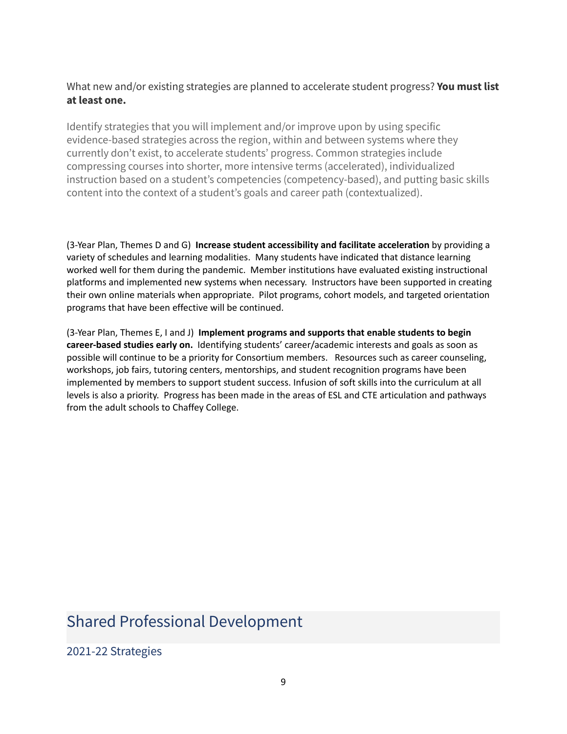#### What new and/or existing strategies are planned to accelerate student progress? **You must list at least one.**

Identify strategies that you will implement and/or improve upon by using specific evidence-based strategies across the region, within and between systems where they currently don't exist, to accelerate students' progress. Common strategies include compressing courses into shorter, more intensive terms (accelerated), individualized instruction based on a student's competencies (competency-based), and putting basic skills content into the context of a student's goals and career path (contextualized).

(3-Year Plan, Themes D and G) **Increase student accessibility and facilitate acceleration** by providing a variety of schedules and learning modalities. Many students have indicated that distance learning worked well for them during the pandemic. Member institutions have evaluated existing instructional platforms and implemented new systems when necessary. Instructors have been supported in creating their own online materials when appropriate. Pilot programs, cohort models, and targeted orientation programs that have been effective will be continued.

(3-Year Plan, Themes E, I and J) **Implement programs and supports that enable students to begin career-based studies early on.** Identifying students' career/academic interests and goals as soon as possible will continue to be a priority for Consortium members. Resources such as career counseling, workshops, job fairs, tutoring centers, mentorships, and student recognition programs have been implemented by members to support student success. Infusion of soft skills into the curriculum at all levels is also a priority. Progress has been made in the areas of ESL and CTE articulation and pathways from the adult schools to Chaffey College.

# Shared Professional Development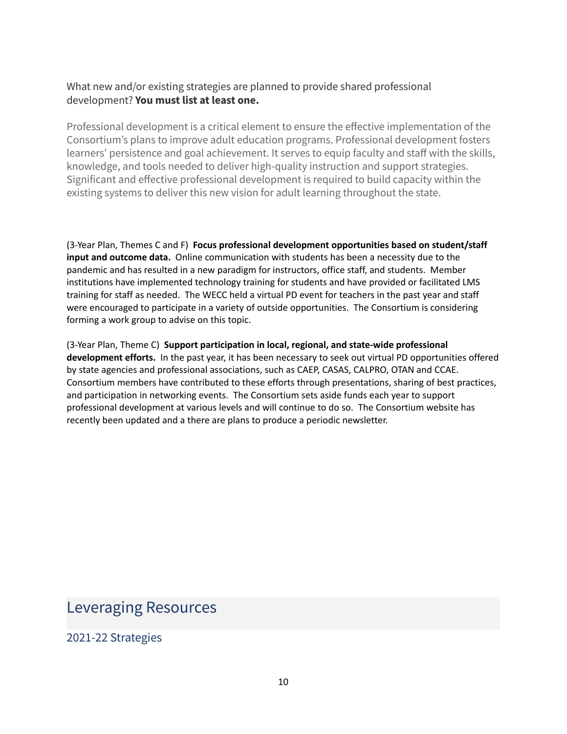#### What new and/or existing strategies are planned to provide shared professional development? **You must list at least one.**

Professional development is a critical element to ensure the effective implementation of the Consortium's plans to improve adult education programs. Professional development fosters learners' persistence and goal achievement. It serves to equip faculty and staff with the skills, knowledge, and tools needed to deliver high-quality instruction and support strategies. Significant and effective professional development is required to build capacity within the existing systems to deliver this new vision for adult learning throughout the state.

(3-Year Plan, Themes C and F) **Focus professional development opportunities based on student/staff input and outcome data.** Online communication with students has been a necessity due to the pandemic and has resulted in a new paradigm for instructors, office staff, and students. Member institutions have implemented technology training for students and have provided or facilitated LMS training for staff as needed. The WECC held a virtual PD event for teachers in the past year and staff were encouraged to participate in a variety of outside opportunities. The Consortium is considering forming a work group to advise on this topic.

(3-Year Plan, Theme C) **Support participation in local, regional, and state-wide professional development efforts.** In the past year, it has been necessary to seek out virtual PD opportunities offered by state agencies and professional associations, such as CAEP, CASAS, CALPRO, OTAN and CCAE. Consortium members have contributed to these efforts through presentations, sharing of best practices, and participation in networking events. The Consortium sets aside funds each year to support professional development at various levels and will continue to do so. The Consortium website has recently been updated and a there are plans to produce a periodic newsletter.

## Leveraging Resources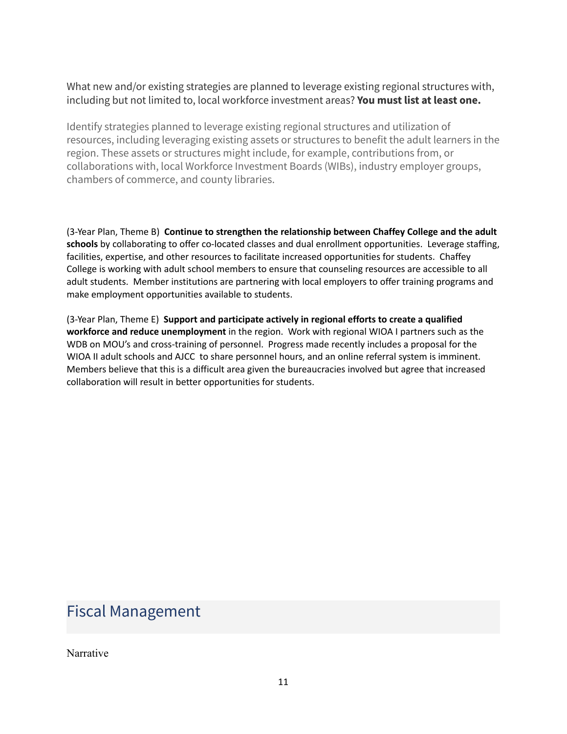What new and/or existing strategies are planned to leverage existing regional structures with, including but not limited to, local workforce investment areas? **You must list at least one.**

Identify strategies planned to leverage existing regional structures and utilization of resources, including leveraging existing assets or structures to benefit the adult learners in the region. These assets or structures might include, for example, contributions from, or collaborations with, local Workforce Investment Boards (WIBs), industry employer groups, chambers of commerce, and county libraries.

(3-Year Plan, Theme B) **Continue to strengthen the relationship between Chaffey College and the adult schools** by collaborating to offer co-located classes and dual enrollment opportunities. Leverage staffing, facilities, expertise, and other resources to facilitate increased opportunities for students. Chaffey College is working with adult school members to ensure that counseling resources are accessible to all adult students. Member institutions are partnering with local employers to offer training programs and make employment opportunities available to students.

(3-Year Plan, Theme E) **Support and participate actively in regional efforts to create a qualified workforce and reduce unemployment** in the region. Work with regional WIOA I partners such as the WDB on MOU's and cross-training of personnel. Progress made recently includes a proposal for the WIOA II adult schools and AJCC to share personnel hours, and an online referral system is imminent. Members believe that this is a difficult area given the bureaucracies involved but agree that increased collaboration will result in better opportunities for students.

## Fiscal Management

Narrative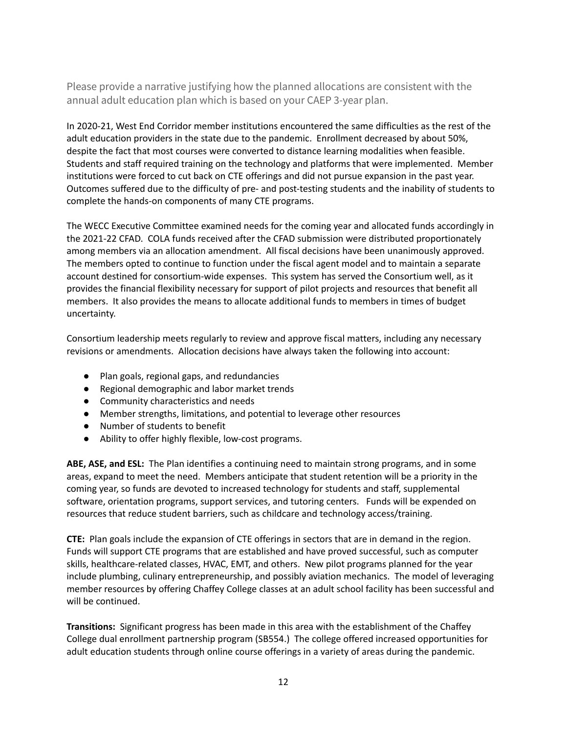Please provide a narrative justifying how the planned allocations are consistent with the annual adult education plan which is based on your CAEP 3-year plan.

In 2020-21, West End Corridor member institutions encountered the same difficulties as the rest of the adult education providers in the state due to the pandemic. Enrollment decreased by about 50%, despite the fact that most courses were converted to distance learning modalities when feasible. Students and staff required training on the technology and platforms that were implemented. Member institutions were forced to cut back on CTE offerings and did not pursue expansion in the past year. Outcomes suffered due to the difficulty of pre- and post-testing students and the inability of students to complete the hands-on components of many CTE programs.

The WECC Executive Committee examined needs for the coming year and allocated funds accordingly in the 2021-22 CFAD. COLA funds received after the CFAD submission were distributed proportionately among members via an allocation amendment. All fiscal decisions have been unanimously approved. The members opted to continue to function under the fiscal agent model and to maintain a separate account destined for consortium-wide expenses. This system has served the Consortium well, as it provides the financial flexibility necessary for support of pilot projects and resources that benefit all members. It also provides the means to allocate additional funds to members in times of budget uncertainty.

Consortium leadership meets regularly to review and approve fiscal matters, including any necessary revisions or amendments. Allocation decisions have always taken the following into account:

- Plan goals, regional gaps, and redundancies
- Regional demographic and labor market trends
- Community characteristics and needs
- Member strengths, limitations, and potential to leverage other resources
- Number of students to benefit
- Ability to offer highly flexible, low-cost programs.

**ABE, ASE, and ESL:** The Plan identifies a continuing need to maintain strong programs, and in some areas, expand to meet the need. Members anticipate that student retention will be a priority in the coming year, so funds are devoted to increased technology for students and staff, supplemental software, orientation programs, support services, and tutoring centers. Funds will be expended on resources that reduce student barriers, such as childcare and technology access/training.

**CTE:** Plan goals include the expansion of CTE offerings in sectors that are in demand in the region. Funds will support CTE programs that are established and have proved successful, such as computer skills, healthcare-related classes, HVAC, EMT, and others. New pilot programs planned for the year include plumbing, culinary entrepreneurship, and possibly aviation mechanics. The model of leveraging member resources by offering Chaffey College classes at an adult school facility has been successful and will be continued.

**Transitions:** Significant progress has been made in this area with the establishment of the Chaffey College dual enrollment partnership program (SB554.) The college offered increased opportunities for adult education students through online course offerings in a variety of areas during the pandemic.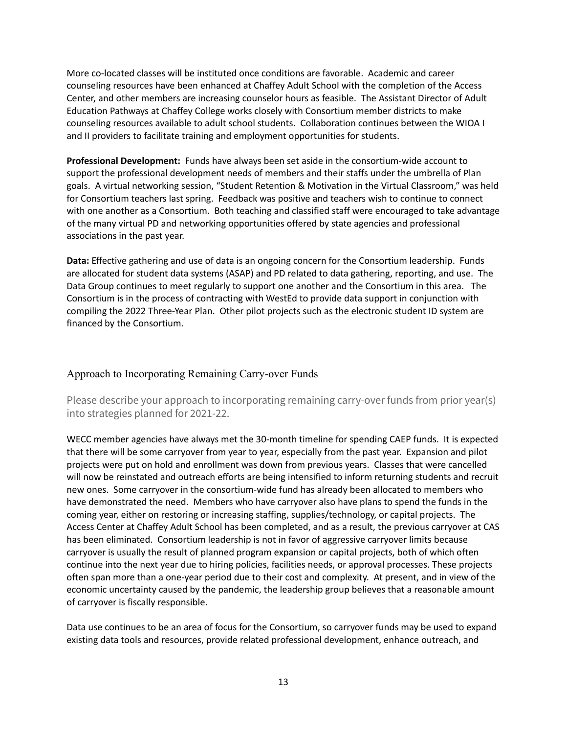More co-located classes will be instituted once conditions are favorable. Academic and career counseling resources have been enhanced at Chaffey Adult School with the completion of the Access Center, and other members are increasing counselor hours as feasible. The Assistant Director of Adult Education Pathways at Chaffey College works closely with Consortium member districts to make counseling resources available to adult school students. Collaboration continues between the WIOA I and II providers to facilitate training and employment opportunities for students.

**Professional Development:** Funds have always been set aside in the consortium-wide account to support the professional development needs of members and their staffs under the umbrella of Plan goals. A virtual networking session, "Student Retention & Motivation in the Virtual Classroom," was held for Consortium teachers last spring. Feedback was positive and teachers wish to continue to connect with one another as a Consortium. Both teaching and classified staff were encouraged to take advantage of the many virtual PD and networking opportunities offered by state agencies and professional associations in the past year.

**Data:** Effective gathering and use of data is an ongoing concern for the Consortium leadership. Funds are allocated for student data systems (ASAP) and PD related to data gathering, reporting, and use. The Data Group continues to meet regularly to support one another and the Consortium in this area. The Consortium is in the process of contracting with WestEd to provide data support in conjunction with compiling the 2022 Three-Year Plan. Other pilot projects such as the electronic student ID system are financed by the Consortium.

#### Approach to Incorporating Remaining Carry-over Funds

Please describe your approach to incorporating remaining carry-over funds from prior year(s) into strategies planned for 2021-22.

WECC member agencies have always met the 30-month timeline for spending CAEP funds. It is expected that there will be some carryover from year to year, especially from the past year. Expansion and pilot projects were put on hold and enrollment was down from previous years. Classes that were cancelled will now be reinstated and outreach efforts are being intensified to inform returning students and recruit new ones. Some carryover in the consortium-wide fund has already been allocated to members who have demonstrated the need. Members who have carryover also have plans to spend the funds in the coming year, either on restoring or increasing staffing, supplies/technology, or capital projects. The Access Center at Chaffey Adult School has been completed, and as a result, the previous carryover at CAS has been eliminated. Consortium leadership is not in favor of aggressive carryover limits because carryover is usually the result of planned program expansion or capital projects, both of which often continue into the next year due to hiring policies, facilities needs, or approval processes. These projects often span more than a one-year period due to their cost and complexity. At present, and in view of the economic uncertainty caused by the pandemic, the leadership group believes that a reasonable amount of carryover is fiscally responsible.

Data use continues to be an area of focus for the Consortium, so carryover funds may be used to expand existing data tools and resources, provide related professional development, enhance outreach, and